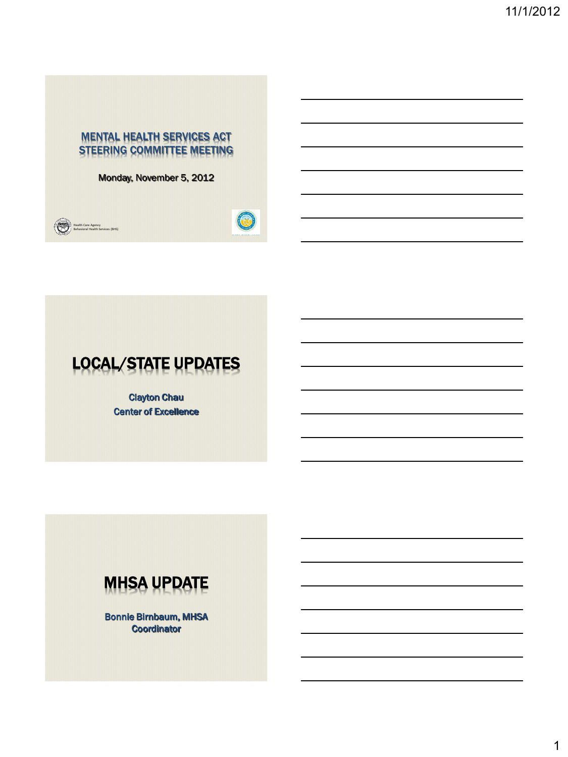### MENTAL HEALTH SERVICES ACT STEERING COMMITTEE MEETING

Monday, November 5, 2012





# LOCAL/STATE UPDATES

Clayton Chau Center of Excellence



Bonnie Birnbaum, MHSA **Coordinator**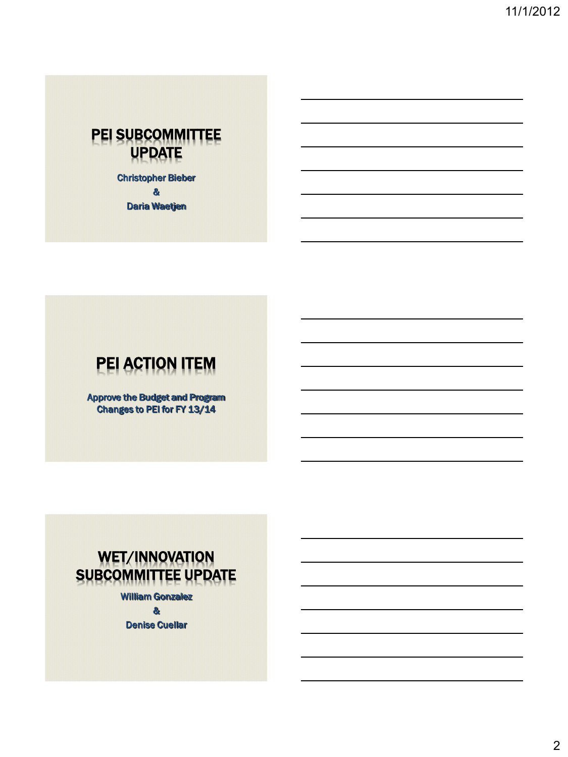## PEI SUBCOMMITTEE UPDATE

Christopher Bieber & Daria Waetjen

# PEI ACTION ITEM

Approve the Budget and Program Changes to PEI for FY 13/14

# WET/INNOVATION SUBCOMMITTEE UPDATE

William Gonzalez

&

Denise Cuellar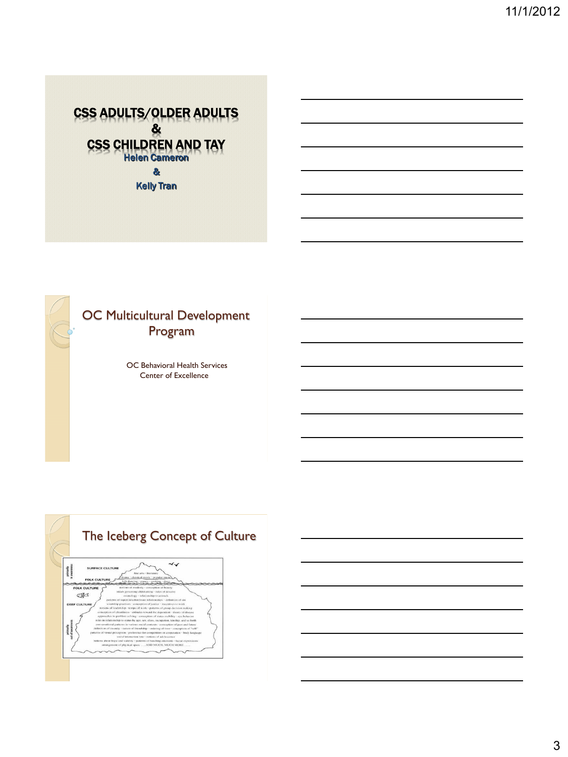



## OC Multicultural Development Program

OC Behavioral Health Services Center of Excellence

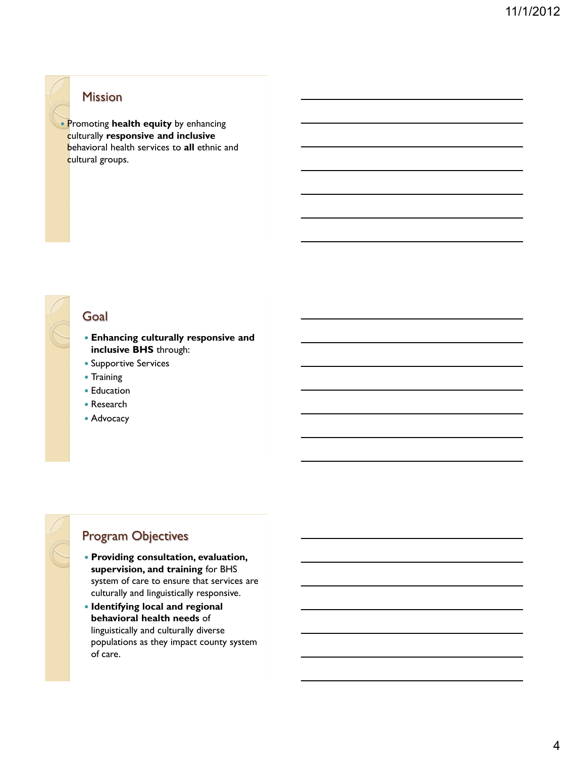### Mission

 Promoting **health equity** by enhancing culturally **responsive and inclusive**  behavioral health services to **all** ethnic and cultural groups.

Goal

• Training • Education Research Advocacy

## Program Objectives

 **Providing consultation, evaluation, supervision, and training** for BHS system of care to ensure that services are culturally and linguistically responsive.

**Enhancing culturally responsive and** 

**inclusive BHS** through: • Supportive Services

 **Identifying local and regional behavioral health needs** of linguistically and culturally diverse populations as they impact county system of care.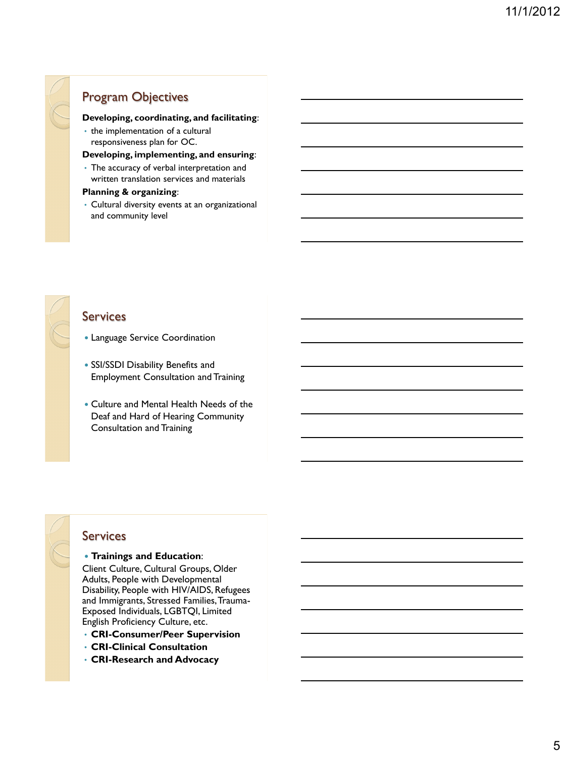## Program Objectives

#### **Developing, coordinating, and facilitating**:

• the implementation of a cultural responsiveness plan for OC.

Language Service Coordination

SSI/SSDI Disability Benefits and

Consultation and Training

Employment Consultation and Training

 Culture and Mental Health Needs of the Deaf and Hard of Hearing Community

#### **Developing, implementing, and ensuring**:

• The accuracy of verbal interpretation and written translation services and materials

#### **Planning & organizing**:

• Cultural diversity events at an organizational and community level

### **Services**

Services

#### **Trainings and Education**:

Client Culture, Cultural Groups, Older Adults, People with Developmental Disability, People with HIV/AIDS, Refugees and Immigrants, Stressed Families, Trauma-Exposed Individuals, LGBTQI, Limited English Proficiency Culture, etc.

- **CRI-Consumer/Peer Supervision**
- **CRI-Clinical Consultation**
- **CRI-Research and Advocacy**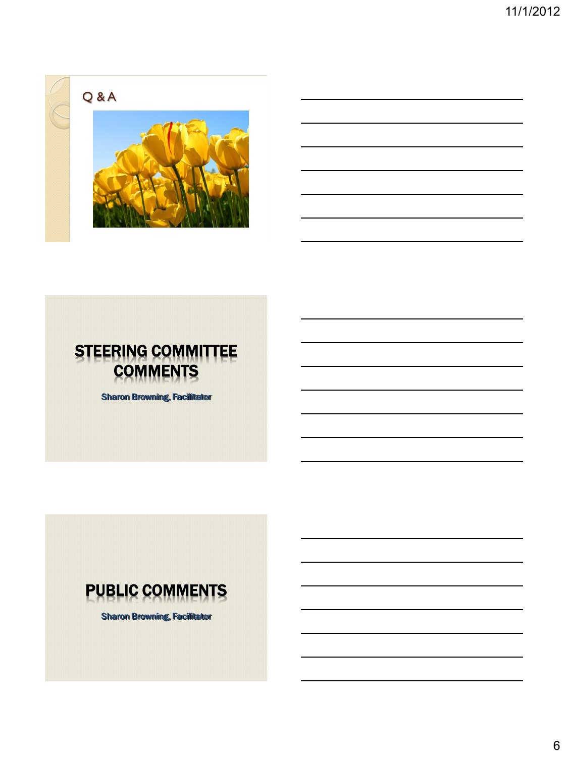



# STEERING COMMITTEE **COMMENTS**

Sharon Browning, Facilitator



Sharon Browning, Facilitator